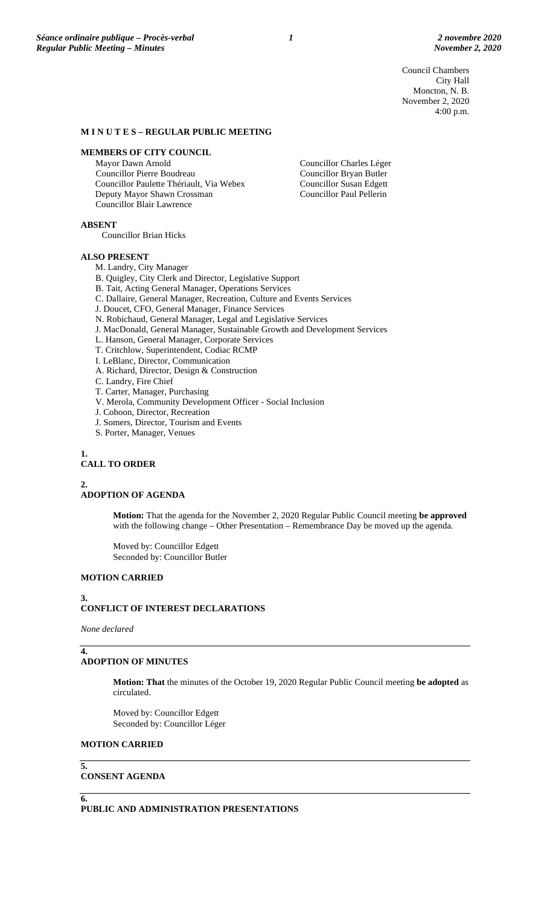Council Chambers City Hall Moncton, N. B. November 2, 2020 4:00 p.m.

#### **M I N U T E S – REGULAR PUBLIC MEETING**

#### **MEMBERS OF CITY COUNCIL**

Mayor Dawn Arnold Councillor Pierre Boudreau Councillor Paulette Thériault, Via Webex Deputy Mayor Shawn Crossman Councillor Blair Lawrence

Councillor Charles Léger Councillor Bryan Butler Councillor Susan Edgett Councillor Paul Pellerin

**ABSENT**

Councillor Brian Hicks

#### **ALSO PRESENT**

M. Landry, City Manager

- B. Quigley, City Clerk and Director, Legislative Support
- B. Tait, Acting General Manager, Operations Services

C. Dallaire, General Manager, Recreation, Culture and Events Services

- J. Doucet, CFO, General Manager, Finance Services
- N. Robichaud, General Manager, Legal and Legislative Services
- J. MacDonald, General Manager, Sustainable Growth and Development Services
- L. Hanson, General Manager, Corporate Services
- T. Critchlow, Superintendent, Codiac RCMP
- I. LeBlanc, Director, Communication
- A. Richard, Director, Design & Construction
- C. Landry, Fire Chief
- T. Carter, Manager, Purchasing
- V. Merola, Community Development Officer Social Inclusion
- J. Cohoon, Director, Recreation
- J. Somers, Director, Tourism and Events
- S. Porter, Manager, Venues

**1.**

### **CALL TO ORDER**

# **2.**

# **ADOPTION OF AGENDA**

**Motion:** That the agenda for the November 2, 2020 Regular Public Council meeting **be approved** with the following change – Other Presentation – Remembrance Day be moved up the agenda.

Moved by: Councillor Edgett Seconded by: Councillor Butler

# **MOTION CARRIED**

### **3. CONFLICT OF INTEREST DECLARATIONS**

*None declared*

### **ADOPTION OF MINUTES**

**Motion: That** the minutes of the October 19, 2020 Regular Public Council meeting **be adopted** as circulated.

Moved by: Councillor Edgett Seconded by: Councillor Léger

### **MOTION CARRIED**

**5.**

**4.**

### **CONSENT AGENDA**

**6.**

**PUBLIC AND ADMINISTRATION PRESENTATIONS**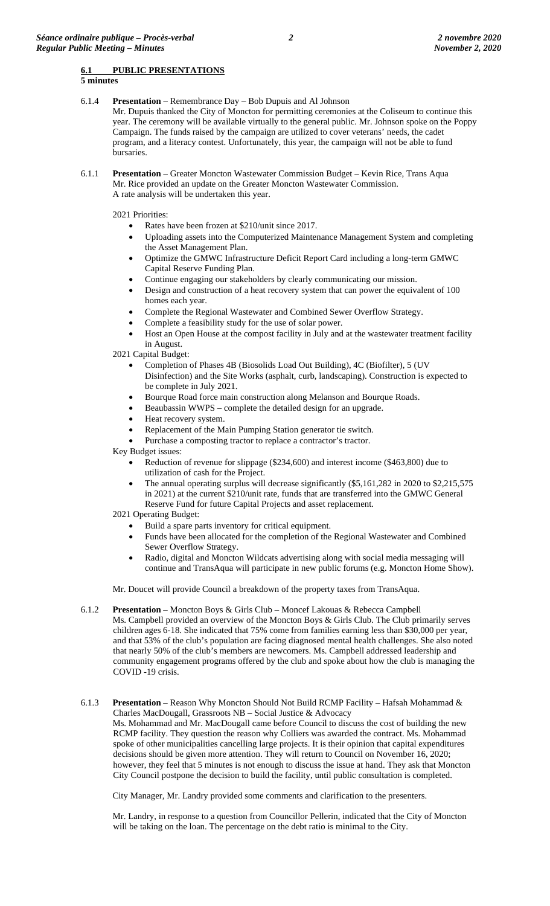# **6.1 PUBLIC PRESENTATIONS**

**5 minutes**

6.1.4 **Presentation** – Remembrance Day – Bob Dupuis and Al Johnson

Mr. Dupuis thanked the City of Moncton for permitting ceremonies at the Coliseum to continue this year. The ceremony will be available virtually to the general public. Mr. Johnson spoke on the Poppy Campaign. The funds raised by the campaign are utilized to cover veterans' needs, the cadet program, and a literacy contest. Unfortunately, this year, the campaign will not be able to fund bursaries.

6.1.1 **Presentation** – Greater Moncton Wastewater Commission Budget – Kevin Rice, Trans Aqua Mr. Rice provided an update on the Greater Moncton Wastewater Commission. A rate analysis will be undertaken this year.

2021 Priorities:

- Rates have been frozen at \$210/unit since 2017.
- Uploading assets into the Computerized Maintenance Management System and completing the Asset Management Plan.
- Optimize the GMWC Infrastructure Deficit Report Card including a long-term GMWC Capital Reserve Funding Plan.
- Continue engaging our stakeholders by clearly communicating our mission.
- Design and construction of a heat recovery system that can power the equivalent of 100 homes each year.
- Complete the Regional Wastewater and Combined Sewer Overflow Strategy.
- Complete a feasibility study for the use of solar power.
- Host an Open House at the compost facility in July and at the wastewater treatment facility in August.

2021 Capital Budget:

- Completion of Phases 4B (Biosolids Load Out Building), 4C (Biofilter), 5 (UV Disinfection) and the Site Works (asphalt, curb, landscaping). Construction is expected to be complete in July 2021.
- Bourque Road force main construction along Melanson and Bourque Roads.
- Beaubassin WWPS complete the detailed design for an upgrade.
- Heat recovery system.
- Replacement of the Main Pumping Station generator tie switch.
- Purchase a composting tractor to replace a contractor's tractor.

Key Budget issues:

- Reduction of revenue for slippage (\$234,600) and interest income (\$463,800) due to utilization of cash for the Project.
- The annual operating surplus will decrease significantly (\$5,161,282 in 2020 to \$2,215,575 in 2021) at the current \$210/unit rate, funds that are transferred into the GMWC General Reserve Fund for future Capital Projects and asset replacement.

2021 Operating Budget:

- Build a spare parts inventory for critical equipment.
- Funds have been allocated for the completion of the Regional Wastewater and Combined Sewer Overflow Strategy.
- Radio, digital and Moncton Wildcats advertising along with social media messaging will continue and TransAqua will participate in new public forums (e.g. Moncton Home Show).

Mr. Doucet will provide Council a breakdown of the property taxes from TransAqua.

- 6.1.2 **Presentation** Moncton Boys & Girls Club Moncef Lakouas & Rebecca Campbell Ms. Campbell provided an overview of the Moncton Boys & Girls Club. The Club primarily serves children ages 6-18. She indicated that 75% come from families earning less than \$30,000 per year, and that 53% of the club's population are facing diagnosed mental health challenges. She also noted that nearly 50% of the club's members are newcomers. Ms. Campbell addressed leadership and community engagement programs offered by the club and spoke about how the club is managing the COVID -19 crisis.
- 6.1.3 **Presentation** Reason Why Moncton Should Not Build RCMP Facility Hafsah Mohammad & Charles MacDougall, Grassroots NB – Social Justice & Advocacy Ms. Mohammad and Mr. MacDougall came before Council to discuss the cost of building the new RCMP facility. They question the reason why Colliers was awarded the contract. Ms. Mohammad spoke of other municipalities cancelling large projects. It is their opinion that capital expenditures decisions should be given more attention. They will return to Council on November 16, 2020; however, they feel that 5 minutes is not enough to discuss the issue at hand. They ask that Moncton City Council postpone the decision to build the facility, until public consultation is completed.

City Manager, Mr. Landry provided some comments and clarification to the presenters.

Mr. Landry, in response to a question from Councillor Pellerin, indicated that the City of Moncton will be taking on the loan. The percentage on the debt ratio is minimal to the City.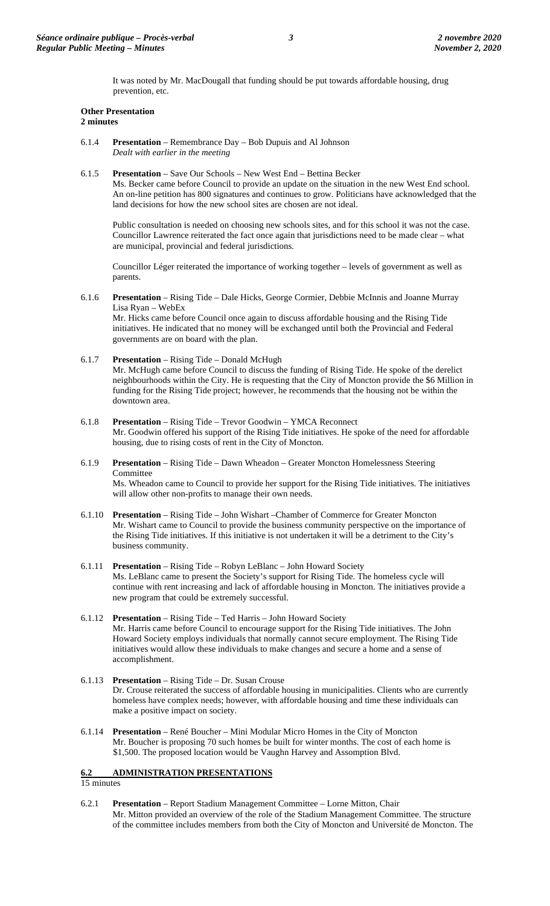It was noted by Mr. MacDougall that funding should be put towards affordable housing, drug prevention, etc.

#### **Other Presentation 2 minutes**

- 6.1.4 **Presentation** Remembrance Day Bob Dupuis and Al Johnson *Dealt with earlier in the meeting*
- 6.1.5 **Presentation** Save Our Schools New West End Bettina Becker

Ms. Becker came before Council to provide an update on the situation in the new West End school. An on-line petition has 800 signatures and continues to grow. Politicians have acknowledged that the land decisions for how the new school sites are chosen are not ideal.

Public consultation is needed on choosing new schools sites, and for this school it was not the case. Councillor Lawrence reiterated the fact once again that jurisdictions need to be made clear – what are municipal, provincial and federal jurisdictions.

Councillor Léger reiterated the importance of working together – levels of government as well as parents.

- 6.1.6 **Presentation** Rising Tide Dale Hicks, George Cormier, Debbie McInnis and Joanne Murray Lisa Ryan – WebEx Mr. Hicks came before Council once again to discuss affordable housing and the Rising Tide initiatives. He indicated that no money will be exchanged until both the Provincial and Federal governments are on board with the plan.
- 6.1.7 **Presentation** Rising Tide Donald McHugh

Mr. McHugh came before Council to discuss the funding of Rising Tide. He spoke of the derelict neighbourhoods within the City. He is requesting that the City of Moncton provide the \$6 Million in funding for the Rising Tide project; however, he recommends that the housing not be within the downtown area.

- 6.1.8 **Presentation** Rising Tide Trevor Goodwin [YMCA](mailto:trevor.goodwin@YMCAmoncton.ca) Reconnect Mr. Goodwin offered his support of the Rising Tide initiatives. He spoke of the need for affordable housing, due to rising costs of rent in the City of Moncton.
- 6.1.9 **Presentation** Rising Tide Dawn Wheadon Greater Moncton Homelessness Steering Committee Ms. Wheadon came to Council to provide her support for the Rising Tide initiatives. The initiatives will allow other non-profits to manage their own needs.
- 6.1.10 **Presentation** Rising Tide John Wishart –Chamber of Commerce for Greater Moncton Mr. Wishart came to Council to provide the business community perspective on the importance of the Rising Tide initiatives. If this initiative is not undertaken it will be a detriment to the City's business community.
- 6.1.11 **Presentation** Rising Tide Robyn LeBlanc John Howard Society Ms. LeBlanc came to present the Society's support for Rising Tide. The homeless cycle will continue with rent increasing and lack of affordable housing in Moncton. The initiatives provide a new program that could be extremely successful.
- 6.1.12 **Presentation** Rising Tide Ted Harris John Howard Society Mr. Harris came before Council to encourage support for the Rising Tide initiatives. The John Howard Society employs individuals that normally cannot secure employment. The Rising Tide initiatives would allow these individuals to make changes and secure a home and a sense of accomplishment.
- 6.1.13 **Presentation** Rising Tide Dr. Susan Crouse Dr. Crouse reiterated the success of affordable housing in municipalities. Clients who are currently homeless have complex needs; however, with affordable housing and time these individuals can make a positive impact on society.
- 6.1.14 **Presentation** René Boucher Mini Modular Micro Homes in the City of Moncton Mr. Boucher is proposing 70 such homes be built for winter months. The cost of each home is \$1,500. The proposed location would be Vaughn Harvey and Assomption Blvd.

# **6.2 ADMINISTRATION PRESENTATIONS**

15 minutes

6.2.1 **Presentation** – Report Stadium Management Committee – Lorne Mitton, Chair Mr. Mitton provided an overview of the role of the Stadium Management Committee. The structure of the committee includes members from both the City of Moncton and Université de Moncton. The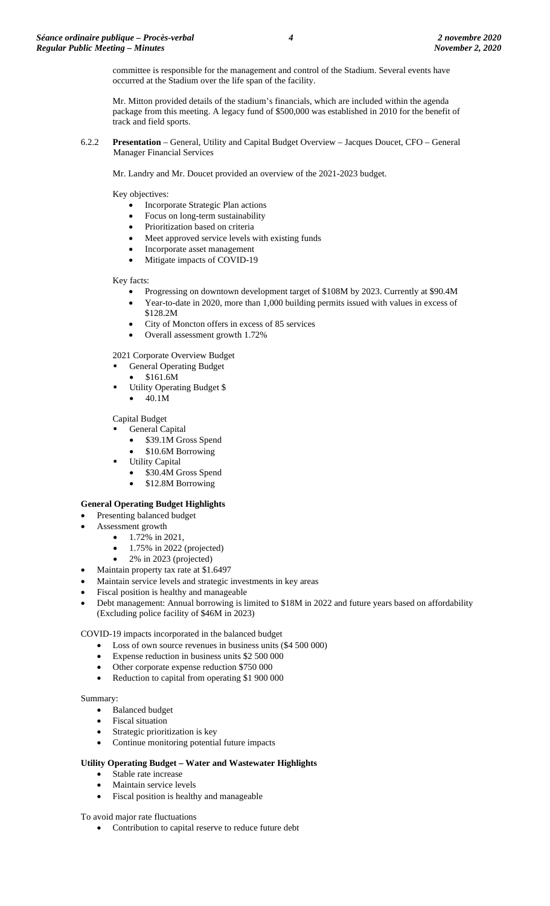committee is responsible for the management and control of the Stadium. Several events have occurred at the Stadium over the life span of the facility.

Mr. Mitton provided details of the stadium's financials, which are included within the agenda package from this meeting. A legacy fund of \$500,000 was established in 2010 for the benefit of track and field sports.

6.2.2 **Presentation** – General, Utility and Capital Budget Overview – Jacques Doucet, CFO – General Manager Financial Services

Mr. Landry and Mr. Doucet provided an overview of the 2021-2023 budget.

Key objectives:

- Incorporate Strategic Plan actions
- Focus on long-term sustainability
- Prioritization based on criteria
- Meet approved service levels with existing funds
- Incorporate asset management
- Mitigate impacts of COVID-19

Key facts:

- Progressing on downtown development target of \$108M by 2023. Currently at \$90.4M
	- Year-to-date in 2020, more than 1,000 building permits issued with values in excess of \$128.2M
- City of Moncton offers in excess of 85 services
- Overall assessment growth 1.72%

2021 Corporate Overview Budget

- General Operating Budget
- \$161.6M
- Utility Operating Budget \$
	- 40.1M

Capital Budget

- General Capital
	- \$39.1M Gross Spend
	- \$10.6M Borrowing
- Utility Capital
	- \$30.4M Gross Spend
	- \$12.8M Borrowing

# **General Operating Budget Highlights**

- Presenting balanced budget
- Assessment growth
	- $1.72\%$  in 2021,
		- $\bullet$  1.75% in 2022 (projected)
		- 2% in 2023 (projected)
- Maintain property tax rate at \$1.6497
- Maintain service levels and strategic investments in key areas
- Fiscal position is healthy and manageable
- Debt management: Annual borrowing is limited to \$18M in 2022 and future years based on affordability (Excluding police facility of \$46M in 2023)

### COVID-19 impacts incorporated in the balanced budget

- Loss of own source revenues in business units (\$4 500 000)
- Expense reduction in business units \$2 500 000
- Other corporate expense reduction \$750 000
- Reduction to capital from operating \$1 900 000

### Summary:

- Balanced budget
- Fiscal situation
- Strategic prioritization is key
- Continue monitoring potential future impacts

### **Utility Operating Budget – Water and Wastewater Highlights**

- Stable rate increase
- Maintain service levels
- Fiscal position is healthy and manageable

### To avoid major rate fluctuations

• Contribution to capital reserve to reduce future debt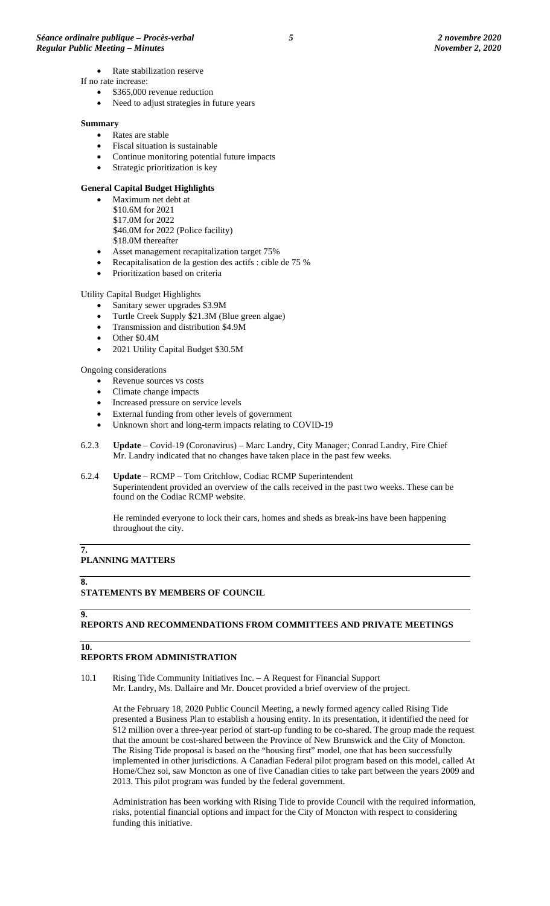- Rate stabilization reserve
- If no rate increase:
	- \$365,000 revenue reduction
	- Need to adjust strategies in future years

#### **Summary**

- Rates are stable
- Fiscal situation is sustainable
- Continue monitoring potential future impacts
- Strategic prioritization is key

#### **General Capital Budget Highlights**

- Maximum net debt at \$10.6M for 2021
	- \$17.0M for 2022
	- \$46.0M for 2022 (Police facility)
	- \$18.0M thereafter
- Asset management recapitalization target 75%
- Recapitalisation de la gestion des actifs : cible de 75 %
- Prioritization based on criteria

#### Utility Capital Budget Highlights

- Sanitary sewer upgrades \$3.9M
- Turtle Creek Supply \$21.3M (Blue green algae)
- Transmission and distribution \$4.9M
- Other  $$0.4M$
- 2021 Utility Capital Budget \$30.5M

### Ongoing considerations

- Revenue sources vs costs
- Climate change impacts
- Increased pressure on service levels
- External funding from other levels of government
- Unknown short and long-term impacts relating to COVID-19
- 6.2.3 **Update** Covid-19 (Coronavirus) Marc Landry, City Manager; Conrad Landry, Fire Chief Mr. Landry indicated that no changes have taken place in the past few weeks.
- 6.2.4 **Update** RCMP Tom Critchlow, Codiac RCMP Superintendent Superintendent provided an overview of the calls received in the past two weeks. These can be found on the Codiac RCMP website.

He reminded everyone to lock their cars, homes and sheds as break-ins have been happening throughout the city.

#### **7. PLANNING MATTERS**

**8.**

### **STATEMENTS BY MEMBERS OF COUNCIL**

### **9.**

# **REPORTS AND RECOMMENDATIONS FROM COMMITTEES AND PRIVATE MEETINGS**

**10.**

### **REPORTS FROM ADMINISTRATION**

10.1 Rising Tide Community Initiatives Inc. – A Request for Financial Support Mr. Landry, Ms. Dallaire and Mr. Doucet provided a brief overview of the project.

At the February 18, 2020 Public Council Meeting, a newly formed agency called Rising Tide presented a Business Plan to establish a housing entity. In its presentation, it identified the need for \$12 million over a three-year period of start-up funding to be co-shared. The group made the request that the amount be cost-shared between the Province of New Brunswick and the City of Moncton. The Rising Tide proposal is based on the "housing first" model, one that has been successfully implemented in other jurisdictions. A Canadian Federal pilot program based on this model, called At Home/Chez soi, saw Moncton as one of five Canadian cities to take part between the years 2009 and 2013. This pilot program was funded by the federal government.

Administration has been working with Rising Tide to provide Council with the required information, risks, potential financial options and impact for the City of Moncton with respect to considering funding this initiative.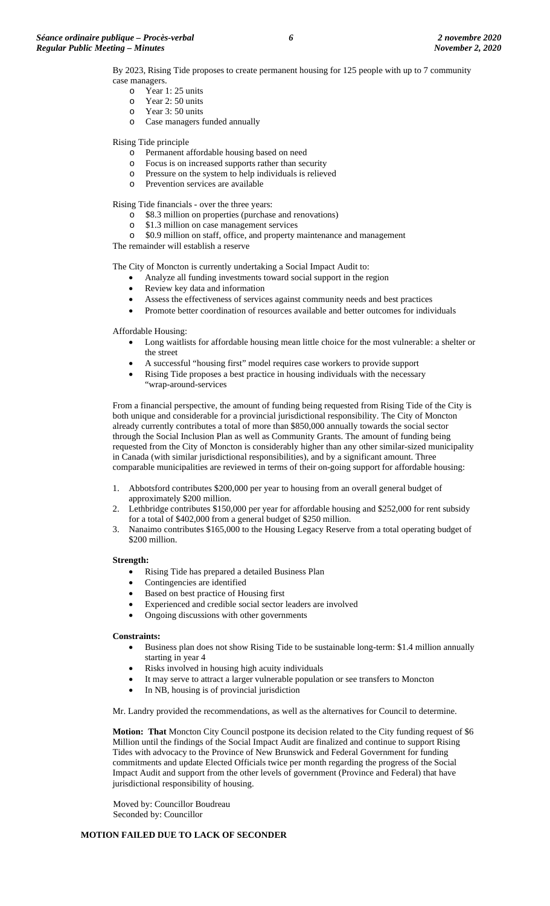By 2023, Rising Tide proposes to create permanent housing for 125 people with up to 7 community case managers.

- 
- $\circ$  Year 1: 25 units<br> $\circ$  Year 2: 50 units Year 2: 50 units
- o Year 3: 50 units
- o Case managers funded annually

Rising Tide principle

- o Permanent affordable housing based on need<br>
o Focus is on increased supports rather than sec
- Focus is on increased supports rather than security
- o Pressure on the system to help individuals is relieved
- o Prevention services are available

Rising Tide financials - over the three years:

- o \$8.3 million on properties (purchase and renovations)
- $\frac{\text{S}}{\text{O}}$  \$1.3 million on case management services
- \$0.9 million on staff, office, and property maintenance and management

The remainder will establish a reserve

The City of Moncton is currently undertaking a Social Impact Audit to:

- Analyze all funding investments toward social support in the region
- Review key data and information
- Assess the effectiveness of services against community needs and best practices
- Promote better coordination of resources available and better outcomes for individuals

Affordable Housing:

- Long waitlists for affordable housing mean little choice for the most vulnerable: a shelter or the street
- A successful "housing first" model requires case workers to provide support
- Rising Tide proposes a best practice in housing individuals with the necessary "wrap-around-services

From a financial perspective, the amount of funding being requested from Rising Tide of the City is both unique and considerable for a provincial jurisdictional responsibility. The City of Moncton already currently contributes a total of more than \$850,000 annually towards the social sector through the Social Inclusion Plan as well as Community Grants. The amount of funding being requested from the City of Moncton is considerably higher than any other similar-sized municipality in Canada (with similar jurisdictional responsibilities), and by a significant amount. Three comparable municipalities are reviewed in terms of their on-going support for affordable housing:

- 1. Abbotsford contributes \$200,000 per year to housing from an overall general budget of approximately \$200 million.
- 2. Lethbridge contributes \$150,000 per year for affordable housing and \$252,000 for rent subsidy for a total of \$402,000 from a general budget of \$250 million.
- 3. Nanaimo contributes \$165,000 to the Housing Legacy Reserve from a total operating budget of \$200 million.

#### **Strength:**

- Rising Tide has prepared a detailed Business Plan
- Contingencies are identified
- Based on best practice of Housing first
- Experienced and credible social sector leaders are involved
- Ongoing discussions with other governments

### **Constraints:**

- Business plan does not show Rising Tide to be sustainable long-term: \$1.4 million annually starting in year 4
- Risks involved in housing high acuity individuals
- It may serve to attract a larger vulnerable population or see transfers to Moncton
- In NB, housing is of provincial jurisdiction

Mr. Landry provided the recommendations, as well as the alternatives for Council to determine.

**Motion: That** Moncton City Council postpone its decision related to the City funding request of \$6 Million until the findings of the Social Impact Audit are finalized and continue to support Rising Tides with advocacy to the Province of New Brunswick and Federal Government for funding commitments and update Elected Officials twice per month regarding the progress of the Social Impact Audit and support from the other levels of government (Province and Federal) that have jurisdictional responsibility of housing.

Moved by: Councillor Boudreau Seconded by: Councillor

### **MOTION FAILED DUE TO LACK OF SECONDER**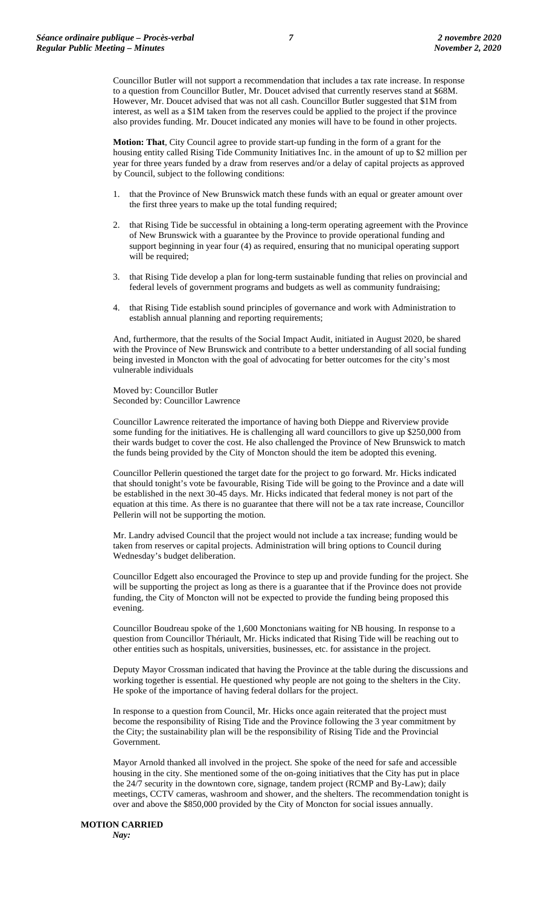Councillor Butler will not support a recommendation that includes a tax rate increase. In response to a question from Councillor Butler, Mr. Doucet advised that currently reserves stand at \$68M. However, Mr. Doucet advised that was not all cash. Councillor Butler suggested that \$1M from interest, as well as a \$1M taken from the reserves could be applied to the project if the province also provides funding. Mr. Doucet indicated any monies will have to be found in other projects.

**Motion: That**, City Council agree to provide start-up funding in the form of a grant for the housing entity called Rising Tide Community Initiatives Inc. in the amount of up to \$2 million per year for three years funded by a draw from reserves and/or a delay of capital projects as approved by Council, subject to the following conditions:

- 1. that the Province of New Brunswick match these funds with an equal or greater amount over the first three years to make up the total funding required;
- 2. that Rising Tide be successful in obtaining a long-term operating agreement with the Province of New Brunswick with a guarantee by the Province to provide operational funding and support beginning in year four (4) as required, ensuring that no municipal operating support will be required;
- 3. that Rising Tide develop a plan for long-term sustainable funding that relies on provincial and federal levels of government programs and budgets as well as community fundraising;
- 4. that Rising Tide establish sound principles of governance and work with Administration to establish annual planning and reporting requirements;

And, furthermore, that the results of the Social Impact Audit, initiated in August 2020, be shared with the Province of New Brunswick and contribute to a better understanding of all social funding being invested in Moncton with the goal of advocating for better outcomes for the city's most vulnerable individuals

Moved by: Councillor Butler Seconded by: Councillor Lawrence

Councillor Lawrence reiterated the importance of having both Dieppe and Riverview provide some funding for the initiatives. He is challenging all ward councillors to give up \$250,000 from their wards budget to cover the cost. He also challenged the Province of New Brunswick to match the funds being provided by the City of Moncton should the item be adopted this evening.

Councillor Pellerin questioned the target date for the project to go forward. Mr. Hicks indicated that should tonight's vote be favourable, Rising Tide will be going to the Province and a date will be established in the next 30-45 days. Mr. Hicks indicated that federal money is not part of the equation at this time. As there is no guarantee that there will not be a tax rate increase, Councillor Pellerin will not be supporting the motion.

Mr. Landry advised Council that the project would not include a tax increase; funding would be taken from reserves or capital projects. Administration will bring options to Council during Wednesday's budget deliberation.

Councillor Edgett also encouraged the Province to step up and provide funding for the project. She will be supporting the project as long as there is a guarantee that if the Province does not provide funding, the City of Moncton will not be expected to provide the funding being proposed this evening.

Councillor Boudreau spoke of the 1,600 Monctonians waiting for NB housing. In response to a question from Councillor Thériault, Mr. Hicks indicated that Rising Tide will be reaching out to other entities such as hospitals, universities, businesses, etc. for assistance in the project.

Deputy Mayor Crossman indicated that having the Province at the table during the discussions and working together is essential. He questioned why people are not going to the shelters in the City. He spoke of the importance of having federal dollars for the project.

In response to a question from Council, Mr. Hicks once again reiterated that the project must become the responsibility of Rising Tide and the Province following the 3 year commitment by the City; the sustainability plan will be the responsibility of Rising Tide and the Provincial Government.

Mayor Arnold thanked all involved in the project. She spoke of the need for safe and accessible housing in the city. She mentioned some of the on-going initiatives that the City has put in place the 24/7 security in the downtown core, signage, tandem project (RCMP and By-Law); daily meetings, CCTV cameras, washroom and shower, and the shelters. The recommendation tonight is over and above the \$850,000 provided by the City of Moncton for social issues annually.

#### **MOTION CARRIED** *Nay:*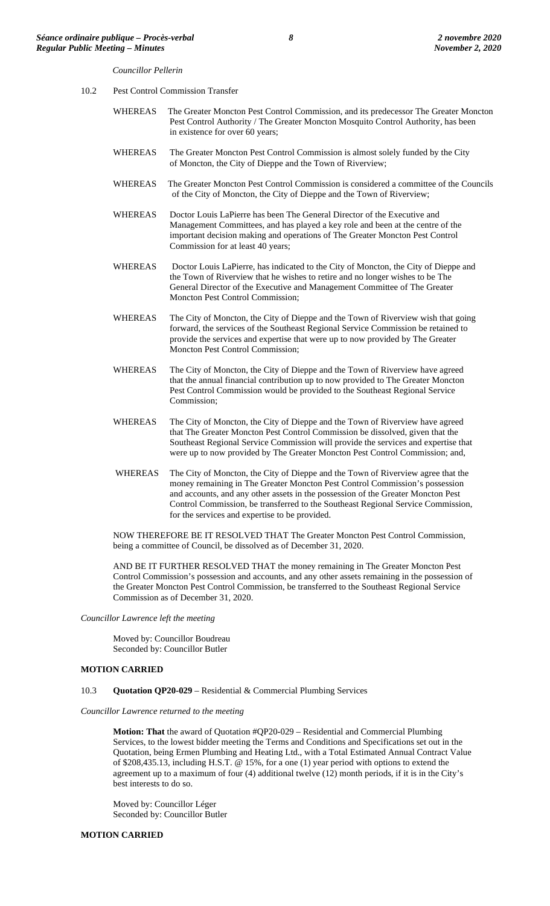*Councillor Pellerin*

- 10.2 Pest Control Commission Transfer
	- WHEREAS The Greater Moncton Pest Control Commission, and its predecessor The Greater Moncton Pest Control Authority / The Greater Moncton Mosquito Control Authority, has been in existence for over 60 years;
	- WHEREAS The Greater Moncton Pest Control Commission is almost solely funded by the City of Moncton, the City of Dieppe and the Town of Riverview;
	- WHEREAS The Greater Moncton Pest Control Commission is considered a committee of the Councils of the City of Moncton, the City of Dieppe and the Town of Riverview;
	- WHEREAS Doctor Louis LaPierre has been The General Director of the Executive and Management Committees, and has played a key role and been at the centre of the important decision making and operations of The Greater Moncton Pest Control Commission for at least 40 years;
	- WHEREAS Doctor Louis LaPierre, has indicated to the City of Moncton, the City of Dieppe and the Town of Riverview that he wishes to retire and no longer wishes to be The General Director of the Executive and Management Committee of The Greater Moncton Pest Control Commission;
	- WHEREAS The City of Moncton, the City of Dieppe and the Town of Riverview wish that going forward, the services of the Southeast Regional Service Commission be retained to provide the services and expertise that were up to now provided by The Greater Moncton Pest Control Commission;
	- WHEREAS The City of Moncton, the City of Dieppe and the Town of Riverview have agreed that the annual financial contribution up to now provided to The Greater Moncton Pest Control Commission would be provided to the Southeast Regional Service Commission;
	- WHEREAS The City of Moncton, the City of Dieppe and the Town of Riverview have agreed that The Greater Moncton Pest Control Commission be dissolved, given that the Southeast Regional Service Commission will provide the services and expertise that were up to now provided by The Greater Moncton Pest Control Commission; and,
	- WHEREAS The City of Moncton, the City of Dieppe and the Town of Riverview agree that the money remaining in The Greater Moncton Pest Control Commission's possession and accounts, and any other assets in the possession of the Greater Moncton Pest Control Commission, be transferred to the Southeast Regional Service Commission, for the services and expertise to be provided.

NOW THEREFORE BE IT RESOLVED THAT The Greater Moncton Pest Control Commission, being a committee of Council, be dissolved as of December 31, 2020.

AND BE IT FURTHER RESOLVED THAT the money remaining in The Greater Moncton Pest Control Commission's possession and accounts, and any other assets remaining in the possession of the Greater Moncton Pest Control Commission, be transferred to the Southeast Regional Service Commission as of December 31, 2020.

*Councillor Lawrence left the meeting*

Moved by: Councillor Boudreau Seconded by: Councillor Butler

#### **MOTION CARRIED**

10.3 **Quotation QP20-029** – Residential & Commercial Plumbing Services

*Councillor Lawrence returned to the meeting*

**Motion: That** the award of Quotation #QP20-029 – Residential and Commercial Plumbing Services, to the lowest bidder meeting the Terms and Conditions and Specifications set out in the Quotation, being Ermen Plumbing and Heating Ltd., with a Total Estimated Annual Contract Value of \$208,435.13, including H.S.T. @ 15%, for a one (1) year period with options to extend the agreement up to a maximum of four (4) additional twelve (12) month periods, if it is in the City's best interests to do so.

Moved by: Councillor Léger Seconded by: Councillor Butler

#### **MOTION CARRIED**